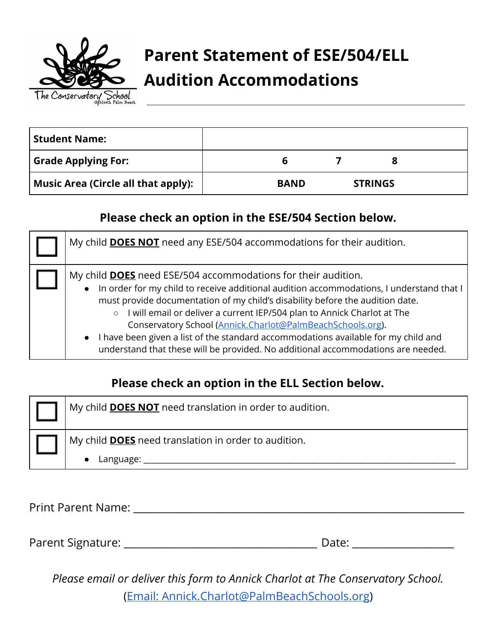

# **Parent Statement of ESE/504/ELL Audition Accommodations**

| <b>Student Name:</b>                       |             |                |  |
|--------------------------------------------|-------------|----------------|--|
| <b>Grade Applying For:</b>                 | b           |                |  |
| <b>Music Area (Circle all that apply):</b> | <b>BAND</b> | <b>STRINGS</b> |  |

### **Please check an option in the ESE/504 Section below.**

| My child <b>DOES NOT</b> need any ESE/504 accommodations for their audition.                                                                                                                                                                                                                                                                                                                                                                                                                                                                                                      |
|-----------------------------------------------------------------------------------------------------------------------------------------------------------------------------------------------------------------------------------------------------------------------------------------------------------------------------------------------------------------------------------------------------------------------------------------------------------------------------------------------------------------------------------------------------------------------------------|
| My child <b>DOES</b> need ESE/504 accommodations for their audition.<br>In order for my child to receive additional audition accommodations, I understand that I<br>must provide documentation of my child's disability before the audition date.<br>I will email or deliver a current IEP/504 plan to Annick Charlot at The<br>Conservatory School (Annick.Charlot@PalmBeachSchools.org).<br>I have been given a list of the standard accommodations available for my child and<br>$\bullet$<br>understand that these will be provided. No additional accommodations are needed. |

### **Please check an option in the ELL Section below.**

| My child <b>DOES NOT</b> need translation in order to audition. |
|-----------------------------------------------------------------|
| My child <b>DOES</b> need translation in order to audition.     |
| Language:                                                       |

Print Parent Name: \_\_\_\_\_\_\_\_\_\_\_\_\_\_\_\_\_\_\_\_\_\_\_\_\_\_\_\_\_\_\_\_\_\_\_\_\_\_\_\_\_\_\_\_\_\_\_\_\_\_\_\_\_\_\_\_\_\_\_\_\_\_\_\_\_

Parent Signature: \_\_\_\_\_\_\_\_\_\_\_\_\_\_\_\_\_\_\_\_\_\_\_\_\_\_\_\_\_\_\_\_\_\_\_\_\_\_ Date: \_\_\_\_\_\_\_\_\_\_\_\_\_\_\_\_\_\_\_\_

*Please email or deliver this form to Annick Charlot at The Conservatory School.* (Email: [Annick.Charlot@PalmBeachSchools.org](mailto:Annick.Charlot@PalmBeachSchools.org))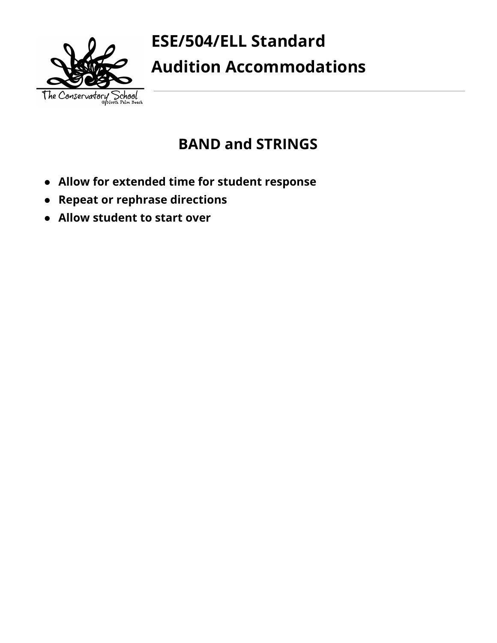

# **ESE/504/ELL Standard Audition Accommodations**

## **BAND and STRINGS**

- **● Allow for extended time for student response**
- **● Repeat or rephrase directions**
- **● Allow student to start over**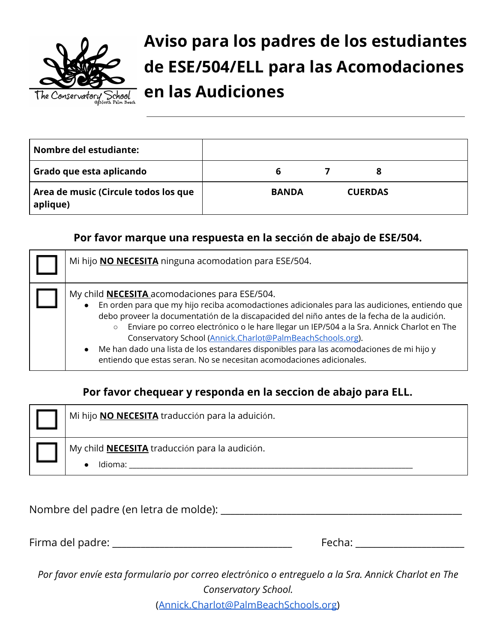

**Aviso para los padres de los estudiantes de ESE/504/ELL para las Acomodaciones en las Audiciones**

| Nombre del estudiante:                           |              |                |  |
|--------------------------------------------------|--------------|----------------|--|
| Grado que esta aplicando                         | b            |                |  |
| Area de music (Circule todos los que<br>aplique) | <b>BANDA</b> | <b>CUERDAS</b> |  |

#### **Por favor marque una respuesta en la secci ó n de abajo de ESE/504.**

| Mi hijo <b>NO NECESITA</b> ninguna acomodation para ESE/504.                                                                                                                                                                                                                                                                                                                                                                                                                                                                                                                                                            |
|-------------------------------------------------------------------------------------------------------------------------------------------------------------------------------------------------------------------------------------------------------------------------------------------------------------------------------------------------------------------------------------------------------------------------------------------------------------------------------------------------------------------------------------------------------------------------------------------------------------------------|
| My child <b>NECESITA</b> acomodaciones para ESE/504.<br>En orden para que my hijo reciba acomodactiones adicionales para las audiciones, entiendo que<br>$\bullet$<br>debo proveer la documentatión de la discapacided del niño antes de la fecha de la audición.<br>Enviare po correo electrónico o le hare llegar un IEP/504 a la Sra. Annick Charlot en The<br>$\circ$<br>Conservatory School (Annick.Charlot@PalmBeachSchools.org).<br>Me han dado una lista de los estandares disponibles para las acomodaciones de mi hijo y<br>$\bullet$<br>entiendo que estas seran. No se necesitan acomodaciones adicionales. |

#### **Por favor chequear y responda en la seccion de abajo para ELL.**

| Mi hijo <b>NO NECESITA</b> traducción para la aduición.          |
|------------------------------------------------------------------|
| My child <b>NECESITA</b> traducción para la audición.<br>Idioma: |

Nombre del padre (en letra de molde): \_\_\_\_\_\_\_\_\_\_\_\_\_\_\_\_\_\_\_\_\_\_\_\_\_\_\_\_\_\_\_\_\_\_\_\_\_\_\_\_\_\_\_\_\_\_\_\_\_\_\_

Firma del padre: \_\_\_\_\_\_\_\_\_\_\_\_\_\_\_\_\_\_\_\_\_\_\_\_\_\_\_\_\_\_\_\_\_\_\_\_\_\_ Fecha: \_\_\_\_\_\_\_\_\_\_\_\_\_\_\_\_\_\_\_\_\_\_\_

Por favor envíe esta formulario por correo electrónico o entreguelo a la Sra. Annick Charlot en The *Conservatory School.* 

( [Annick.Charlot@PalmBeachSchools.org](mailto:Annick.Charlot@PalmBeachSchools.org) )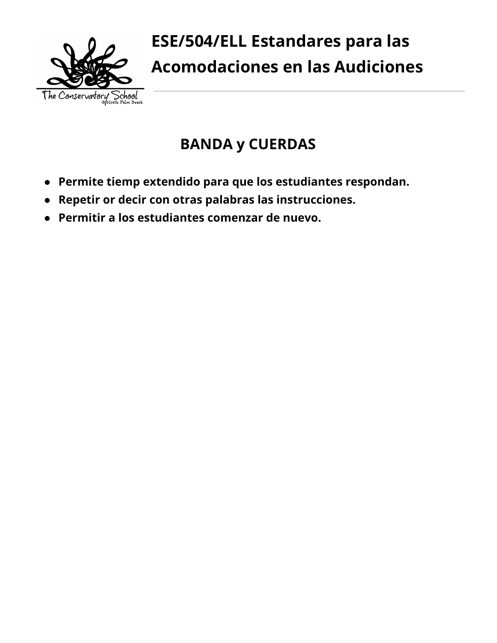

## **BANDA y CUERDAS**

- **● Permite tiemp extendido para que los estudiantes respondan.**
- **● Repetir or decir con otras palabras las instrucciones.**
- **● Permitir a los estudiantes comenzar de nuevo.**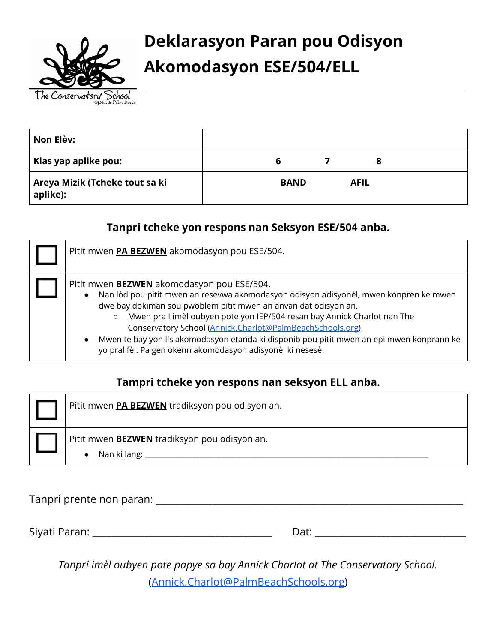

# **Deklarasyon Paran pou Odisyon Akomodasyon ESE/504/ELL**

| Non Elèv:                                  |   |             |             |  |
|--------------------------------------------|---|-------------|-------------|--|
| Klas yap aplike pou:                       | ь |             |             |  |
| Areya Mizik (Tcheke tout sa ki<br>aplike): |   | <b>BAND</b> | <b>AFIL</b> |  |

#### **Tanpri tcheke yon respons nan Seksyon ESE/504 anba.**

| Pitit mwen PA BEZWEN akomodasyon pou ESE/504.                                                                                                                                                                                                                                                                                                                                                                                                                                                                                                |
|----------------------------------------------------------------------------------------------------------------------------------------------------------------------------------------------------------------------------------------------------------------------------------------------------------------------------------------------------------------------------------------------------------------------------------------------------------------------------------------------------------------------------------------------|
| Pitit mwen <b>BEZWEN</b> akomodasyon pou ESE/504.<br>Nan lòd pou pitit mwen an resevwa akomodasyon odisyon adisyonèl, mwen konpren ke mwen<br>$\bullet$<br>dwe bay dokiman sou pwoblem pitit mwen an anvan dat odisyon an.<br>Mwen pra I imèl oubyen pote yon IEP/504 resan bay Annick Charlot nan The<br>Conservatory School (Annick.Charlot@PalmBeachSchools.org).<br>Mwen te bay yon lis akomodasyon etanda ki disponib pou pitit mwen an epi mwen konprann ke<br>$\bullet$<br>yo pral fèl. Pa gen okenn akomodasyon adisyonèl ki nesesè. |

### **Tampri tcheke yon respons nan seksyon ELL anba.**

| Pitit mwen <b>PA BEZWEN</b> tradiksyon pou odisyon an.                        |
|-------------------------------------------------------------------------------|
| Pitit mwen <b>BEZWEN</b> tradiksyon pou odisyon an.<br>$\bullet$ Nan ki lang: |

Tanpri prente non paran: \_\_\_\_\_\_\_\_\_\_\_\_\_\_\_\_\_\_\_\_\_\_\_\_\_\_\_\_\_\_\_\_\_\_\_\_\_\_\_\_\_\_\_\_\_\_\_\_\_\_\_\_\_\_\_\_\_\_\_\_\_\_\_\_\_

Siyati Paran: \_\_\_\_\_\_\_\_\_\_\_\_\_\_\_\_\_\_\_\_\_\_\_\_\_\_\_\_\_\_\_\_\_\_\_\_\_\_ Dat: \_\_\_\_\_\_\_\_\_\_\_\_\_\_\_\_\_\_\_\_\_\_\_\_\_\_\_\_\_\_\_\_

*Tanpri imèl oubyen pote papye sa bay Annick Charlot at The Conservatory School.* ([Annick.Charlot@PalmBeachSchools.org](mailto:Annick.Charlot@PalmBeachSchools.org))